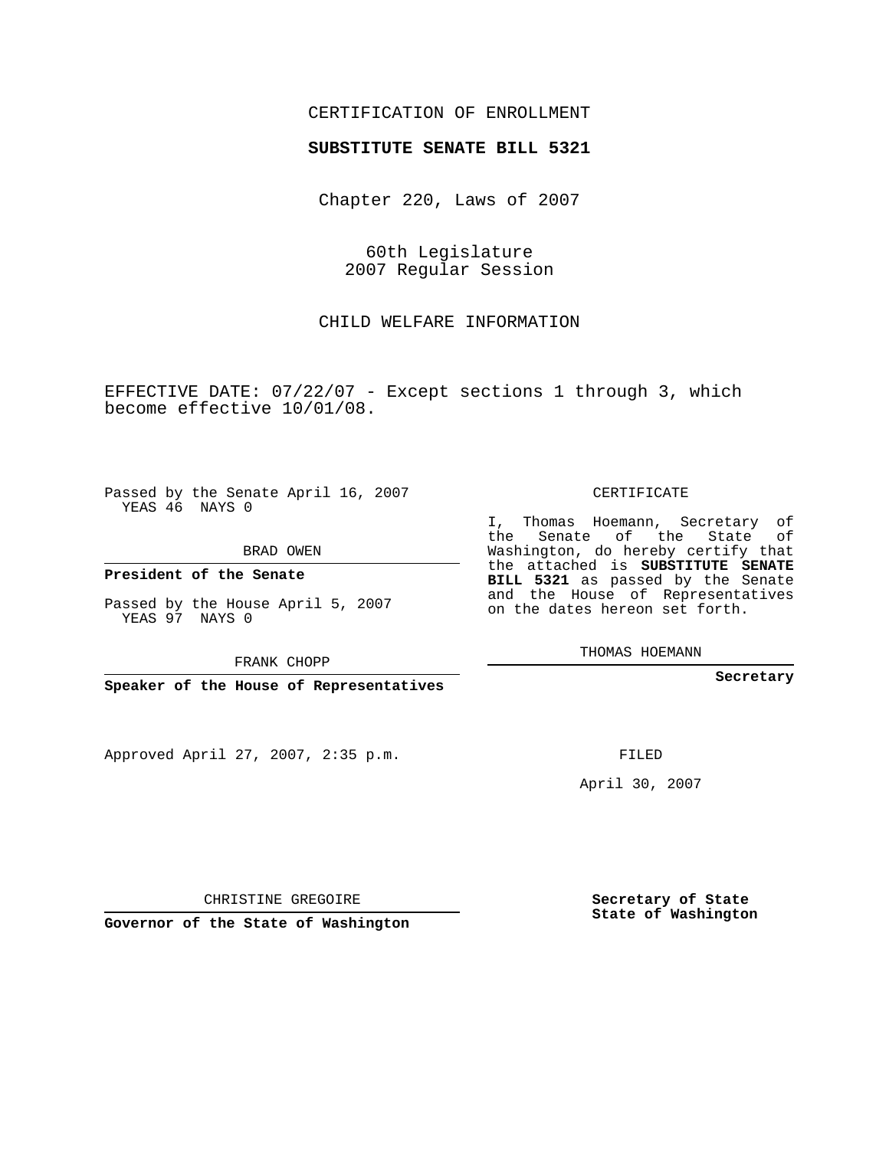## CERTIFICATION OF ENROLLMENT

#### **SUBSTITUTE SENATE BILL 5321**

Chapter 220, Laws of 2007

60th Legislature 2007 Regular Session

CHILD WELFARE INFORMATION

EFFECTIVE DATE: 07/22/07 - Except sections 1 through 3, which become effective 10/01/08.

Passed by the Senate April 16, 2007 YEAS 46 NAYS 0

BRAD OWEN

**President of the Senate**

Passed by the House April 5, 2007 YEAS 97 NAYS 0

FRANK CHOPP

**Speaker of the House of Representatives**

Approved April 27, 2007, 2:35 p.m.

CERTIFICATE

I, Thomas Hoemann, Secretary of the Senate of the State Washington, do hereby certify that the attached is **SUBSTITUTE SENATE BILL 5321** as passed by the Senate and the House of Representatives on the dates hereon set forth.

THOMAS HOEMANN

**Secretary**

FILED

April 30, 2007

CHRISTINE GREGOIRE

**Governor of the State of Washington**

**Secretary of State State of Washington**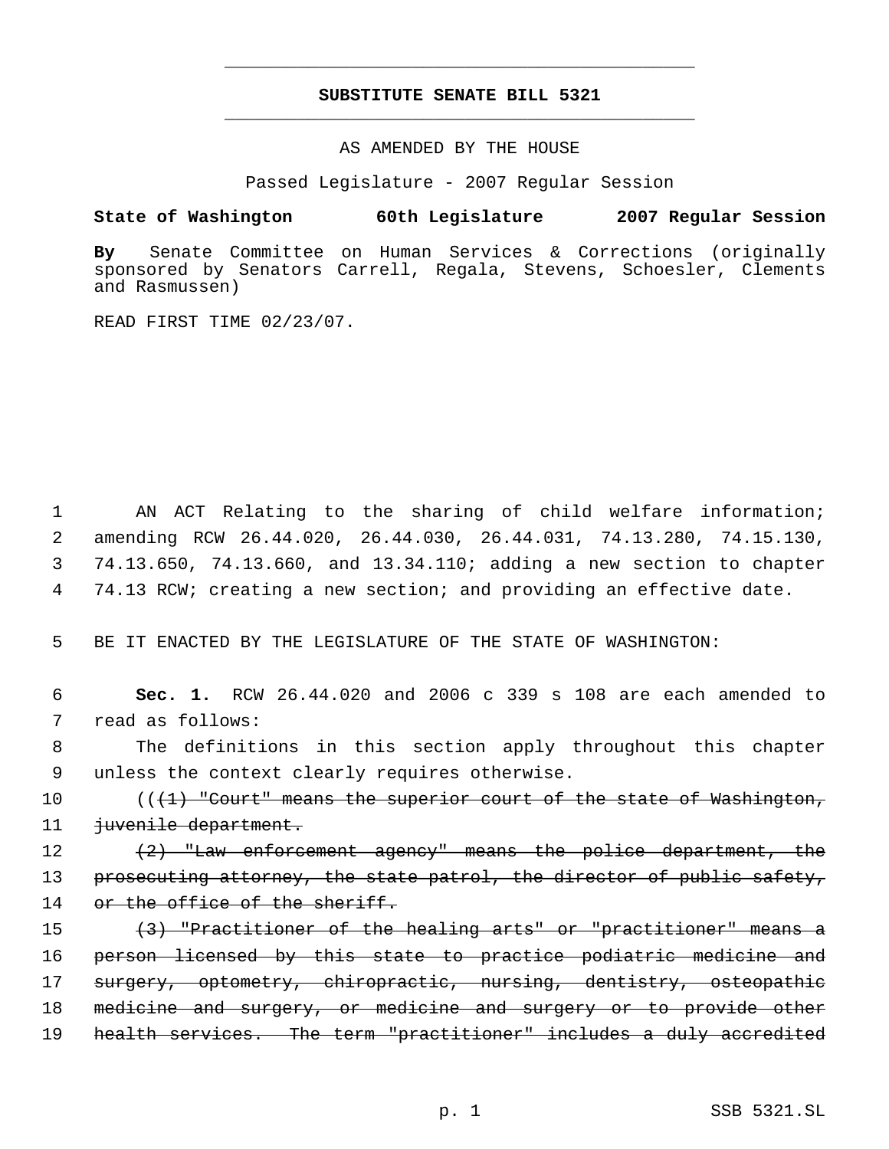# **SUBSTITUTE SENATE BILL 5321** \_\_\_\_\_\_\_\_\_\_\_\_\_\_\_\_\_\_\_\_\_\_\_\_\_\_\_\_\_\_\_\_\_\_\_\_\_\_\_\_\_\_\_\_\_

\_\_\_\_\_\_\_\_\_\_\_\_\_\_\_\_\_\_\_\_\_\_\_\_\_\_\_\_\_\_\_\_\_\_\_\_\_\_\_\_\_\_\_\_\_

### AS AMENDED BY THE HOUSE

Passed Legislature - 2007 Regular Session

## **State of Washington 60th Legislature 2007 Regular Session**

**By** Senate Committee on Human Services & Corrections (originally sponsored by Senators Carrell, Regala, Stevens, Schoesler, Clements and Rasmussen)

READ FIRST TIME 02/23/07.

 AN ACT Relating to the sharing of child welfare information; amending RCW 26.44.020, 26.44.030, 26.44.031, 74.13.280, 74.15.130, 74.13.650, 74.13.660, and 13.34.110; adding a new section to chapter 74.13 RCW; creating a new section; and providing an effective date.

5 BE IT ENACTED BY THE LEGISLATURE OF THE STATE OF WASHINGTON:

 6 **Sec. 1.** RCW 26.44.020 and 2006 c 339 s 108 are each amended to 7 read as follows:

 8 The definitions in this section apply throughout this chapter 9 unless the context clearly requires otherwise.

10  $((1)$  "Court" means the superior court of the state of Washington, 11 juvenile department.

12 (2) "Law enforcement agency" means the police department, the 13 prosecuting attorney, the state patrol, the director of public safety, 14 or the office of the sheriff.

15 (3) "Practitioner of the healing arts" or "practitioner" means a 16 person licensed by this state to practice podiatric medicine and 17 surgery, optometry, chiropractic, nursing, dentistry, osteopathic 18 medicine and surgery, or medicine and surgery or to provide other 19 health services. The term "practitioner" includes a duly accredited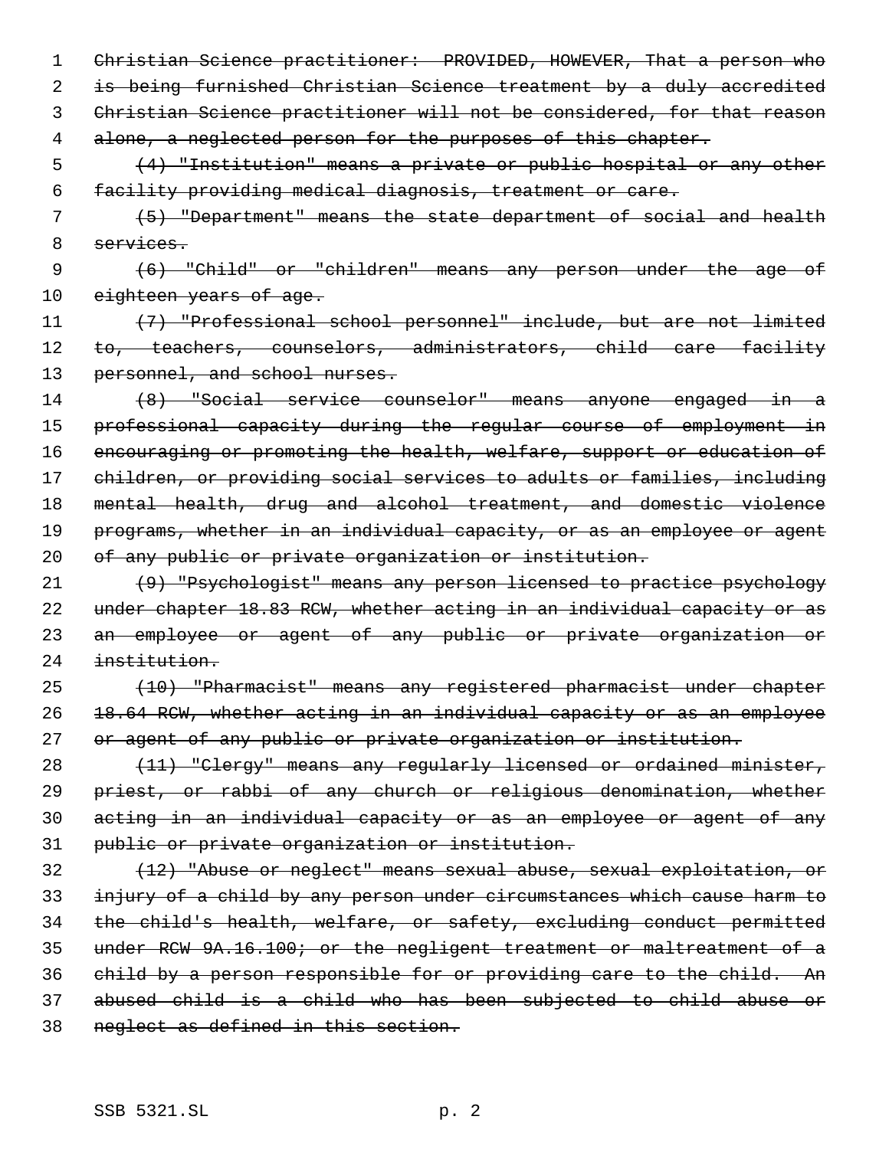Christian Science practitioner: PROVIDED, HOWEVER, That a person who is being furnished Christian Science treatment by a duly accredited Christian Science practitioner will not be considered, for that reason 4 alone, a neglected person for the purposes of this chapter.

 (4) "Institution" means a private or public hospital or any other facility providing medical diagnosis, treatment or care.

 (5) "Department" means the state department of social and health services.

 (6) "Child" or "children" means any person under the age of 10 eighteen years of age.

 (7) "Professional school personnel" include, but are not limited 12 to, teachers, counselors, administrators, child care facility 13 personnel, and school nurses.

 (8) "Social service counselor" means anyone engaged in a professional capacity during the regular course of employment in encouraging or promoting the health, welfare, support or education of 17 children, or providing social services to adults or families, including mental health, drug and alcohol treatment, and domestic violence 19 programs, whether in an individual capacity, or as an employee or agent 20 of any public or private organization or institution.

 (9) "Psychologist" means any person licensed to practice psychology 22 under chapter 18.83 RCW, whether acting in an individual capacity or as an employee or agent of any public or private organization or institution.

 (10) "Pharmacist" means any registered pharmacist under chapter 18.64 RCW, whether acting in an individual capacity or as an employee or agent of any public or private organization or institution.

 (11) "Clergy" means any regularly licensed or ordained minister, priest, or rabbi of any church or religious denomination, whether acting in an individual capacity or as an employee or agent of any public or private organization or institution.

 (12) "Abuse or neglect" means sexual abuse, sexual exploitation, or injury of a child by any person under circumstances which cause harm to the child's health, welfare, or safety, excluding conduct permitted under RCW 9A.16.100; or the negligent treatment or maltreatment of a child by a person responsible for or providing care to the child. An abused child is a child who has been subjected to child abuse or neglect as defined in this section.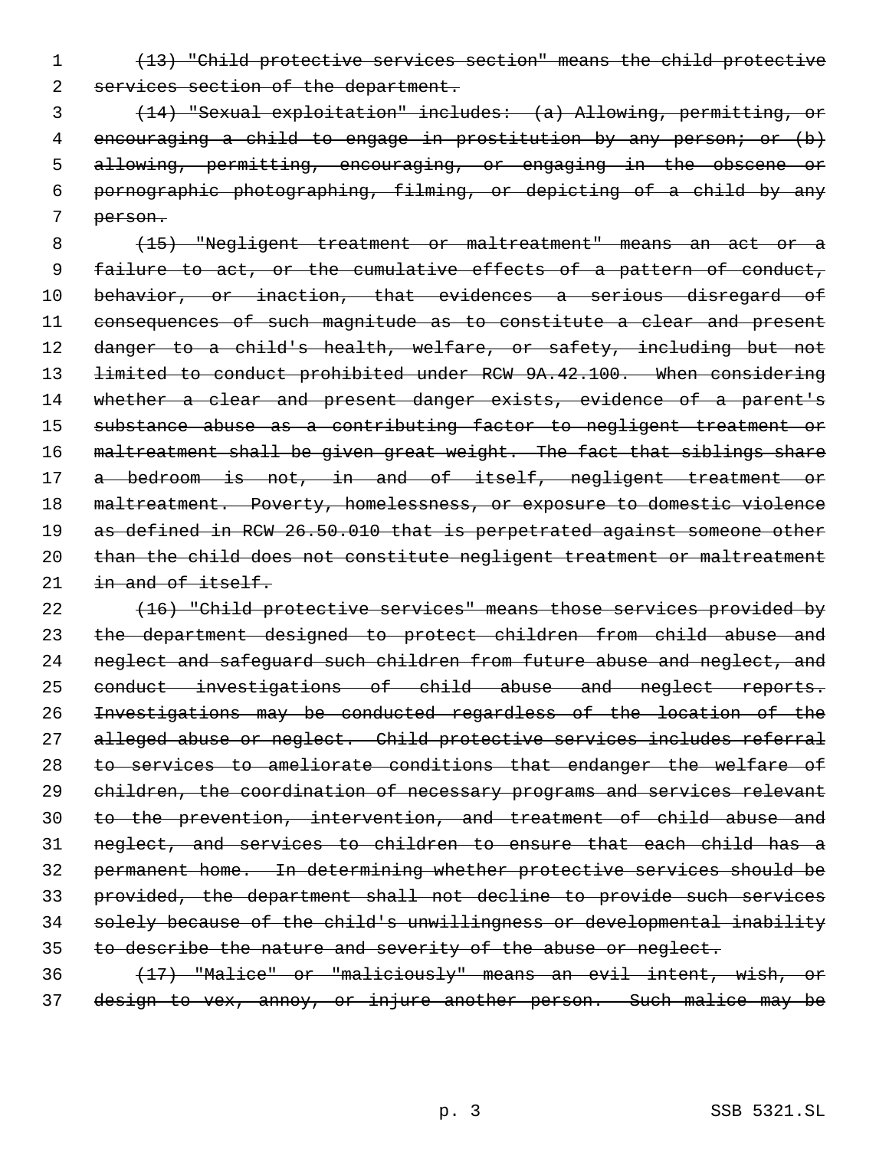(13) "Child protective services section" means the child protective 2 services section of the department.

 (14) "Sexual exploitation" includes: (a) Allowing, permitting, or 4 encouraging a child to engage in prostitution by any person; or (b) allowing, permitting, encouraging, or engaging in the obscene or pornographic photographing, filming, or depicting of a child by any person.

 (15) "Negligent treatment or maltreatment" means an act or a 9 failure to act, or the cumulative effects of a pattern of conduct, 10 behavior, or inaction, that evidences a serious disregard of consequences of such magnitude as to constitute a clear and present 12 danger to a child's health, welfare, or safety, including but not 13 <del>limited to conduct prohibited under RCW 9A.42.100. When considering</del> 14 whether a clear and present danger exists, evidence of a parent's substance abuse as a contributing factor to negligent treatment or 16 maltreatment shall be given great weight. The fact that siblings share 17 a bedroom is not, in and of itself, negligent treatment or 18 maltreatment. Poverty, homelessness, or exposure to domestic violence as defined in RCW 26.50.010 that is perpetrated against someone other than the child does not constitute negligent treatment or maltreatment 21 in and of itself.

 (16) "Child protective services" means those services provided by the department designed to protect children from child abuse and 24 neglect and safeguard such children from future abuse and neglect, and conduct investigations of child abuse and neglect reports. Investigations may be conducted regardless of the location of the alleged abuse or neglect. Child protective services includes referral 28 to services to ameliorate conditions that endanger the welfare of 29 children, the coordination of necessary programs and services relevant to the prevention, intervention, and treatment of child abuse and neglect, and services to children to ensure that each child has a permanent home. In determining whether protective services should be provided, the department shall not decline to provide such services solely because of the child's unwillingness or developmental inability to describe the nature and severity of the abuse or neglect. (17) "Malice" or "maliciously" means an evil intent, wish, or

design to vex, annoy, or injure another person. Such malice may be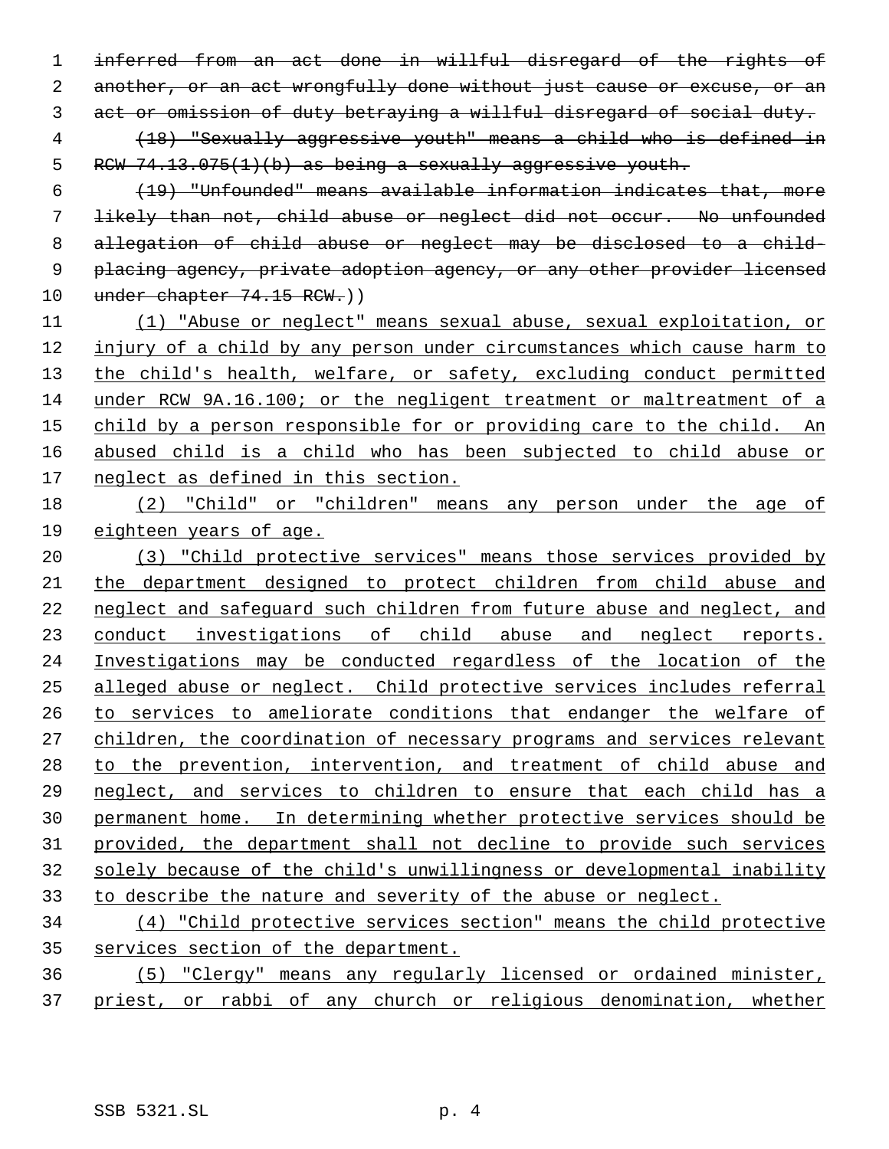inferred from an act done in willful disregard of the rights of 2 another, or an act wrongfully done without just cause or excuse, or an act or omission of duty betraying a willful disregard of social duty. (18) "Sexually aggressive youth" means a child who is defined in 5 RCW  $74.13.075(1)(b)$  as being a sexually aggressive youth.

 (19) "Unfounded" means available information indicates that, more likely than not, child abuse or neglect did not occur. No unfounded allegation of child abuse or neglect may be disclosed to a child- placing agency, private adoption agency, or any other provider licensed 10 under chapter 74.15 RCW.))

 (1) "Abuse or neglect" means sexual abuse, sexual exploitation, or injury of a child by any person under circumstances which cause harm to 13 the child's health, welfare, or safety, excluding conduct permitted under RCW 9A.16.100; or the negligent treatment or maltreatment of a 15 child by a person responsible for or providing care to the child. An abused child is a child who has been subjected to child abuse or neglect as defined in this section.

 (2) "Child" or "children" means any person under the age of eighteen years of age.

 (3) "Child protective services" means those services provided by the department designed to protect children from child abuse and neglect and safeguard such children from future abuse and neglect, and 23 conduct investigations of child abuse and neglect reports. Investigations may be conducted regardless of the location of the alleged abuse or neglect. Child protective services includes referral to services to ameliorate conditions that endanger the welfare of children, the coordination of necessary programs and services relevant to the prevention, intervention, and treatment of child abuse and neglect, and services to children to ensure that each child has a permanent home. In determining whether protective services should be provided, the department shall not decline to provide such services solely because of the child's unwillingness or developmental inability to describe the nature and severity of the abuse or neglect.

 (4) "Child protective services section" means the child protective services section of the department.

 (5) "Clergy" means any regularly licensed or ordained minister, priest, or rabbi of any church or religious denomination, whether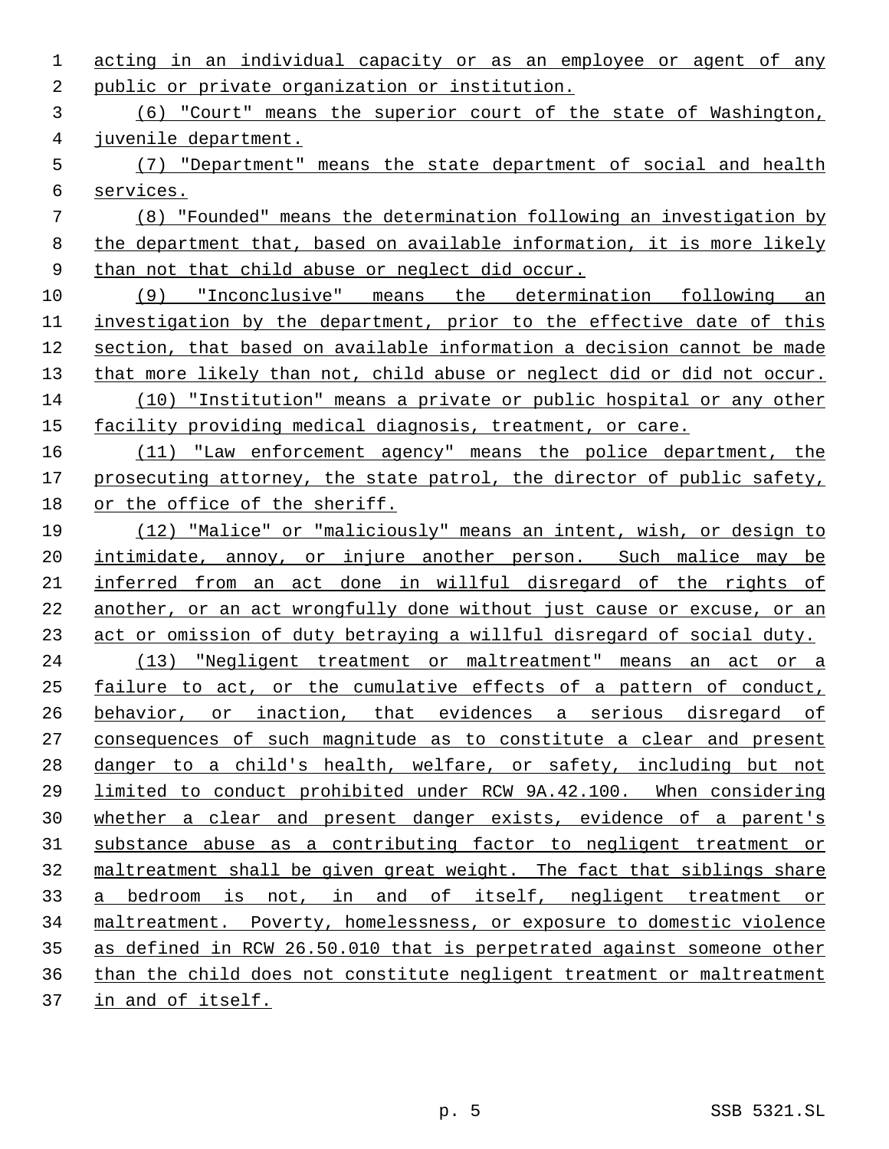public or private organization or institution. (6) "Court" means the superior court of the state of Washington, juvenile department. (7) "Department" means the state department of social and health services. (8) "Founded" means the determination following an investigation by the department that, based on available information, it is more likely 9 than not that child abuse or neglect did occur. (9) "Inconclusive" means the determination following an investigation by the department, prior to the effective date of this section, that based on available information a decision cannot be made 13 that more likely than not, child abuse or neglect did or did not occur. (10) "Institution" means a private or public hospital or any other facility providing medical diagnosis, treatment, or care. (11) "Law enforcement agency" means the police department, the 17 prosecuting attorney, the state patrol, the director of public safety, or the office of the sheriff. (12) "Malice" or "maliciously" means an intent, wish, or design to 20 intimidate, annoy, or injure another person. Such malice may be inferred from an act done in willful disregard of the rights of another, or an act wrongfully done without just cause or excuse, or an act or omission of duty betraying a willful disregard of social duty. (13) "Negligent treatment or maltreatment" means an act or a failure to act, or the cumulative effects of a pattern of conduct, behavior, or inaction, that evidences a serious disregard of consequences of such magnitude as to constitute a clear and present danger to a child's health, welfare, or safety, including but not limited to conduct prohibited under RCW 9A.42.100. When considering whether a clear and present danger exists, evidence of a parent's substance abuse as a contributing factor to negligent treatment or maltreatment shall be given great weight. The fact that siblings share a bedroom is not, in and of itself, negligent treatment or maltreatment. Poverty, homelessness, or exposure to domestic violence as defined in RCW 26.50.010 that is perpetrated against someone other than the child does not constitute negligent treatment or maltreatment in and of itself.

acting in an individual capacity or as an employee or agent of any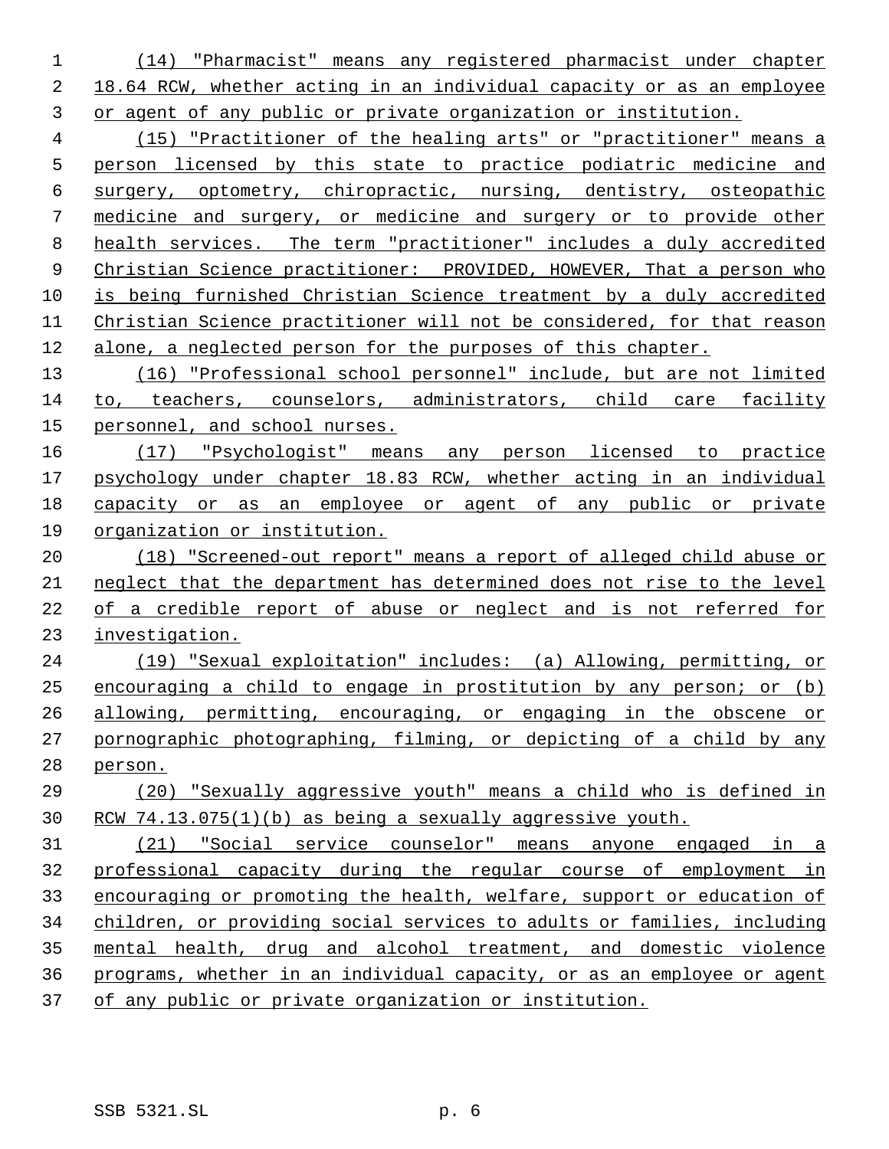(14) "Pharmacist" means any registered pharmacist under chapter 18.64 RCW, whether acting in an individual capacity or as an employee or agent of any public or private organization or institution.

 (15) "Practitioner of the healing arts" or "practitioner" means a person licensed by this state to practice podiatric medicine and surgery, optometry, chiropractic, nursing, dentistry, osteopathic medicine and surgery, or medicine and surgery or to provide other health services. The term "practitioner" includes a duly accredited Christian Science practitioner: PROVIDED, HOWEVER, That a person who is being furnished Christian Science treatment by a duly accredited Christian Science practitioner will not be considered, for that reason alone, a neglected person for the purposes of this chapter.

 (16) "Professional school personnel" include, but are not limited to, teachers, counselors, administrators, child care facility personnel, and school nurses.

 (17) "Psychologist" means any person licensed to practice psychology under chapter 18.83 RCW, whether acting in an individual capacity or as an employee or agent of any public or private organization or institution.

 (18) "Screened-out report" means a report of alleged child abuse or neglect that the department has determined does not rise to the level of a credible report of abuse or neglect and is not referred for investigation.

 (19) "Sexual exploitation" includes: (a) Allowing, permitting, or encouraging a child to engage in prostitution by any person; or (b) allowing, permitting, encouraging, or engaging in the obscene or 27 pornographic photographing, filming, or depicting of a child by any person.

 (20) "Sexually aggressive youth" means a child who is defined in RCW 74.13.075(1)(b) as being a sexually aggressive youth.

 (21) "Social service counselor" means anyone engaged in a professional capacity during the regular course of employment in encouraging or promoting the health, welfare, support or education of children, or providing social services to adults or families, including mental health, drug and alcohol treatment, and domestic violence programs, whether in an individual capacity, or as an employee or agent of any public or private organization or institution.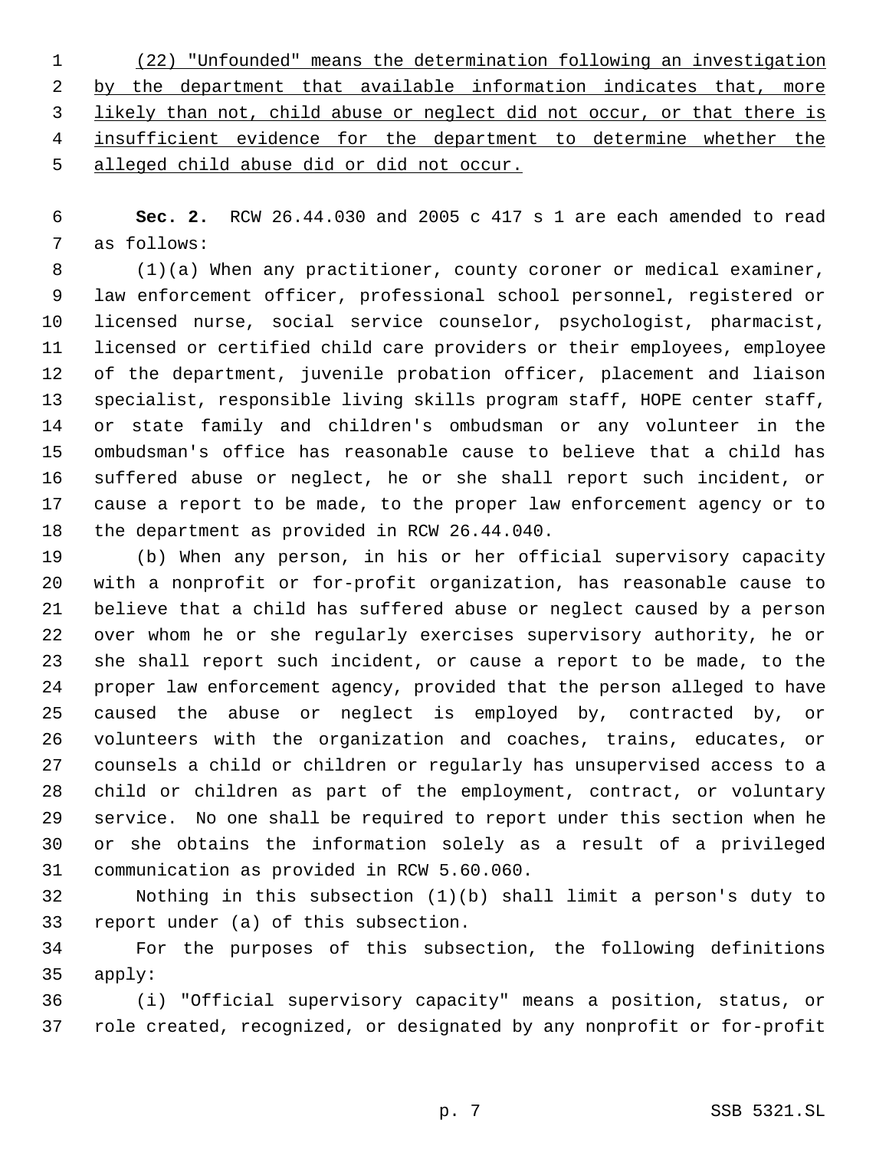(22) "Unfounded" means the determination following an investigation 2 by the department that available information indicates that, more likely than not, child abuse or neglect did not occur, or that there is 4 insufficient evidence for the department to determine whether the alleged child abuse did or did not occur.

 **Sec. 2.** RCW 26.44.030 and 2005 c 417 s 1 are each amended to read as follows:

 (1)(a) When any practitioner, county coroner or medical examiner, law enforcement officer, professional school personnel, registered or licensed nurse, social service counselor, psychologist, pharmacist, licensed or certified child care providers or their employees, employee of the department, juvenile probation officer, placement and liaison specialist, responsible living skills program staff, HOPE center staff, or state family and children's ombudsman or any volunteer in the ombudsman's office has reasonable cause to believe that a child has suffered abuse or neglect, he or she shall report such incident, or cause a report to be made, to the proper law enforcement agency or to the department as provided in RCW 26.44.040.

 (b) When any person, in his or her official supervisory capacity with a nonprofit or for-profit organization, has reasonable cause to believe that a child has suffered abuse or neglect caused by a person over whom he or she regularly exercises supervisory authority, he or she shall report such incident, or cause a report to be made, to the proper law enforcement agency, provided that the person alleged to have caused the abuse or neglect is employed by, contracted by, or volunteers with the organization and coaches, trains, educates, or counsels a child or children or regularly has unsupervised access to a child or children as part of the employment, contract, or voluntary service. No one shall be required to report under this section when he or she obtains the information solely as a result of a privileged communication as provided in RCW 5.60.060.

 Nothing in this subsection (1)(b) shall limit a person's duty to report under (a) of this subsection.

 For the purposes of this subsection, the following definitions apply:

 (i) "Official supervisory capacity" means a position, status, or role created, recognized, or designated by any nonprofit or for-profit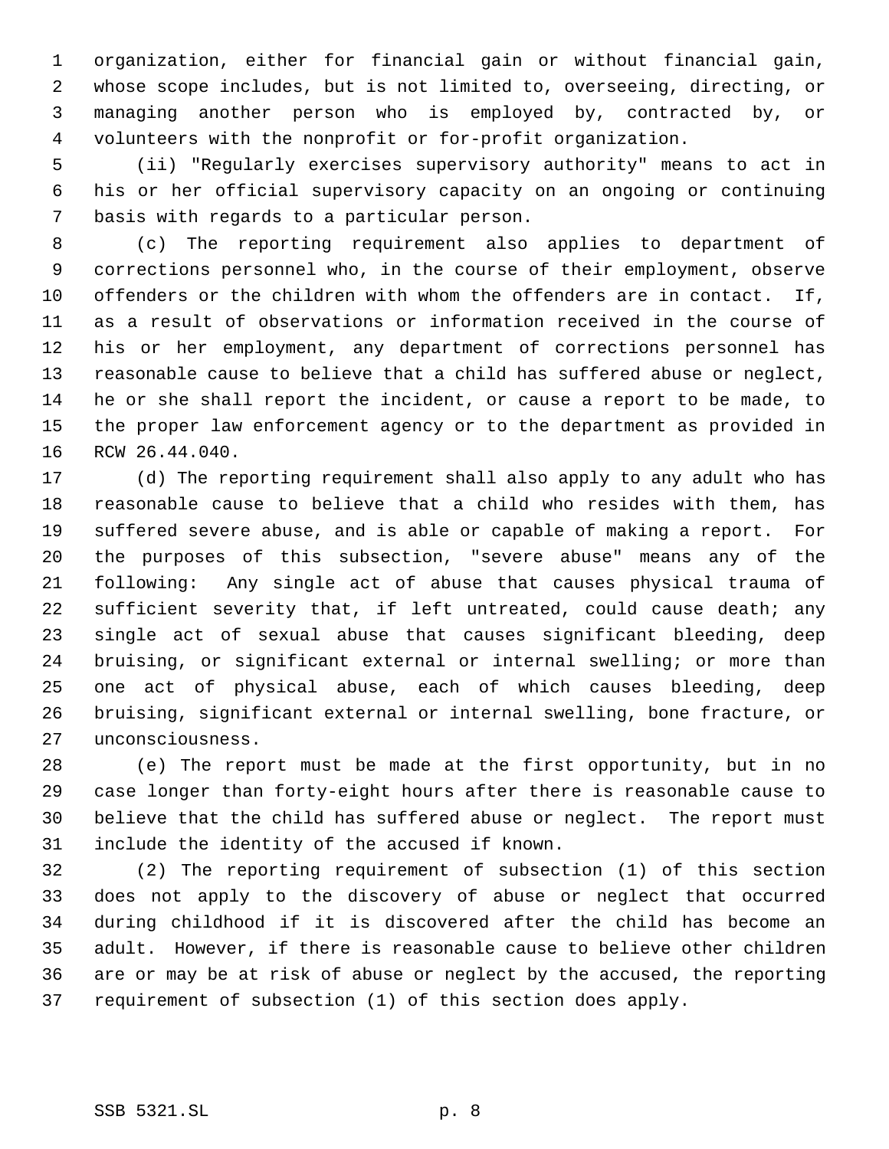organization, either for financial gain or without financial gain, whose scope includes, but is not limited to, overseeing, directing, or managing another person who is employed by, contracted by, or volunteers with the nonprofit or for-profit organization.

 (ii) "Regularly exercises supervisory authority" means to act in his or her official supervisory capacity on an ongoing or continuing basis with regards to a particular person.

 (c) The reporting requirement also applies to department of corrections personnel who, in the course of their employment, observe offenders or the children with whom the offenders are in contact. If, as a result of observations or information received in the course of his or her employment, any department of corrections personnel has reasonable cause to believe that a child has suffered abuse or neglect, he or she shall report the incident, or cause a report to be made, to the proper law enforcement agency or to the department as provided in RCW 26.44.040.

 (d) The reporting requirement shall also apply to any adult who has reasonable cause to believe that a child who resides with them, has suffered severe abuse, and is able or capable of making a report. For the purposes of this subsection, "severe abuse" means any of the following: Any single act of abuse that causes physical trauma of sufficient severity that, if left untreated, could cause death; any single act of sexual abuse that causes significant bleeding, deep bruising, or significant external or internal swelling; or more than one act of physical abuse, each of which causes bleeding, deep bruising, significant external or internal swelling, bone fracture, or unconsciousness.

 (e) The report must be made at the first opportunity, but in no case longer than forty-eight hours after there is reasonable cause to believe that the child has suffered abuse or neglect. The report must include the identity of the accused if known.

 (2) The reporting requirement of subsection (1) of this section does not apply to the discovery of abuse or neglect that occurred during childhood if it is discovered after the child has become an adult. However, if there is reasonable cause to believe other children are or may be at risk of abuse or neglect by the accused, the reporting requirement of subsection (1) of this section does apply.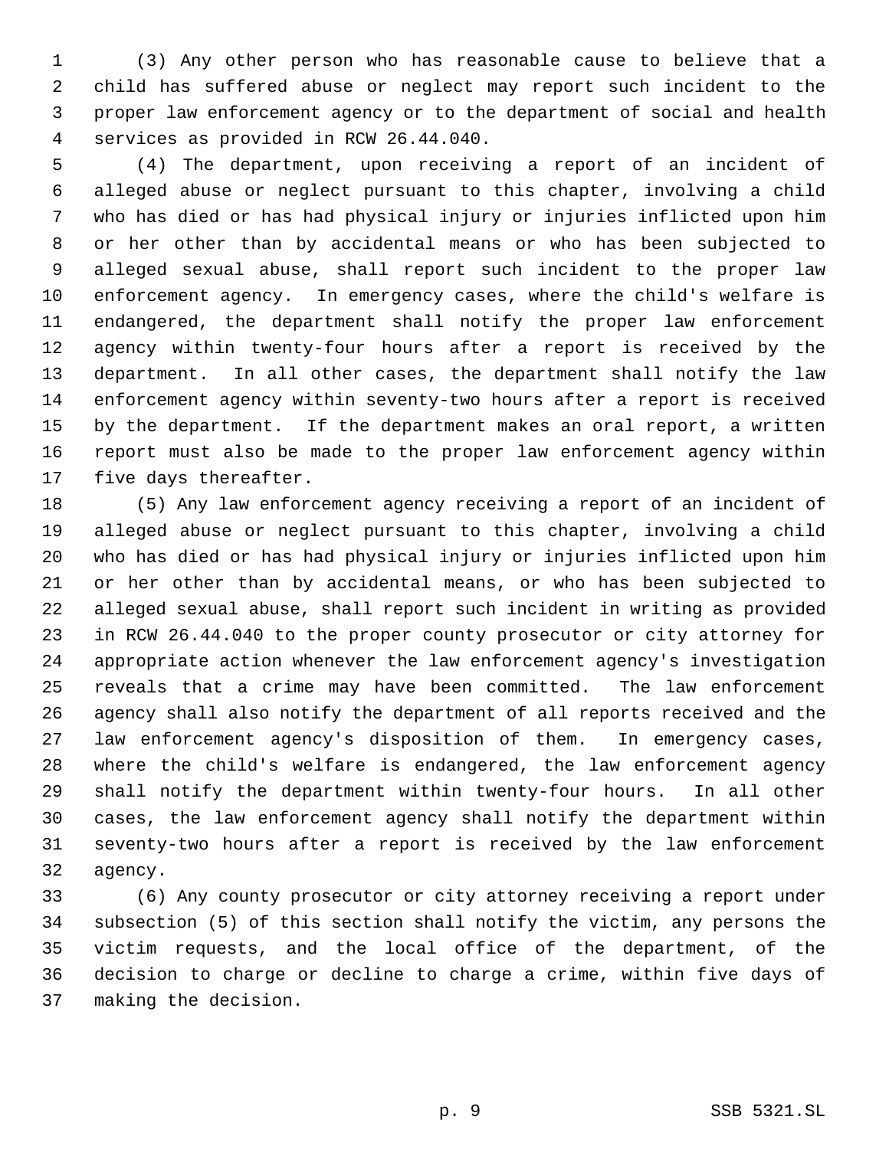(3) Any other person who has reasonable cause to believe that a child has suffered abuse or neglect may report such incident to the proper law enforcement agency or to the department of social and health services as provided in RCW 26.44.040.

 (4) The department, upon receiving a report of an incident of alleged abuse or neglect pursuant to this chapter, involving a child who has died or has had physical injury or injuries inflicted upon him or her other than by accidental means or who has been subjected to alleged sexual abuse, shall report such incident to the proper law enforcement agency. In emergency cases, where the child's welfare is endangered, the department shall notify the proper law enforcement agency within twenty-four hours after a report is received by the department. In all other cases, the department shall notify the law enforcement agency within seventy-two hours after a report is received by the department. If the department makes an oral report, a written report must also be made to the proper law enforcement agency within five days thereafter.

 (5) Any law enforcement agency receiving a report of an incident of alleged abuse or neglect pursuant to this chapter, involving a child who has died or has had physical injury or injuries inflicted upon him or her other than by accidental means, or who has been subjected to alleged sexual abuse, shall report such incident in writing as provided in RCW 26.44.040 to the proper county prosecutor or city attorney for appropriate action whenever the law enforcement agency's investigation reveals that a crime may have been committed. The law enforcement agency shall also notify the department of all reports received and the law enforcement agency's disposition of them. In emergency cases, where the child's welfare is endangered, the law enforcement agency shall notify the department within twenty-four hours. In all other cases, the law enforcement agency shall notify the department within seventy-two hours after a report is received by the law enforcement agency.

 (6) Any county prosecutor or city attorney receiving a report under subsection (5) of this section shall notify the victim, any persons the victim requests, and the local office of the department, of the decision to charge or decline to charge a crime, within five days of making the decision.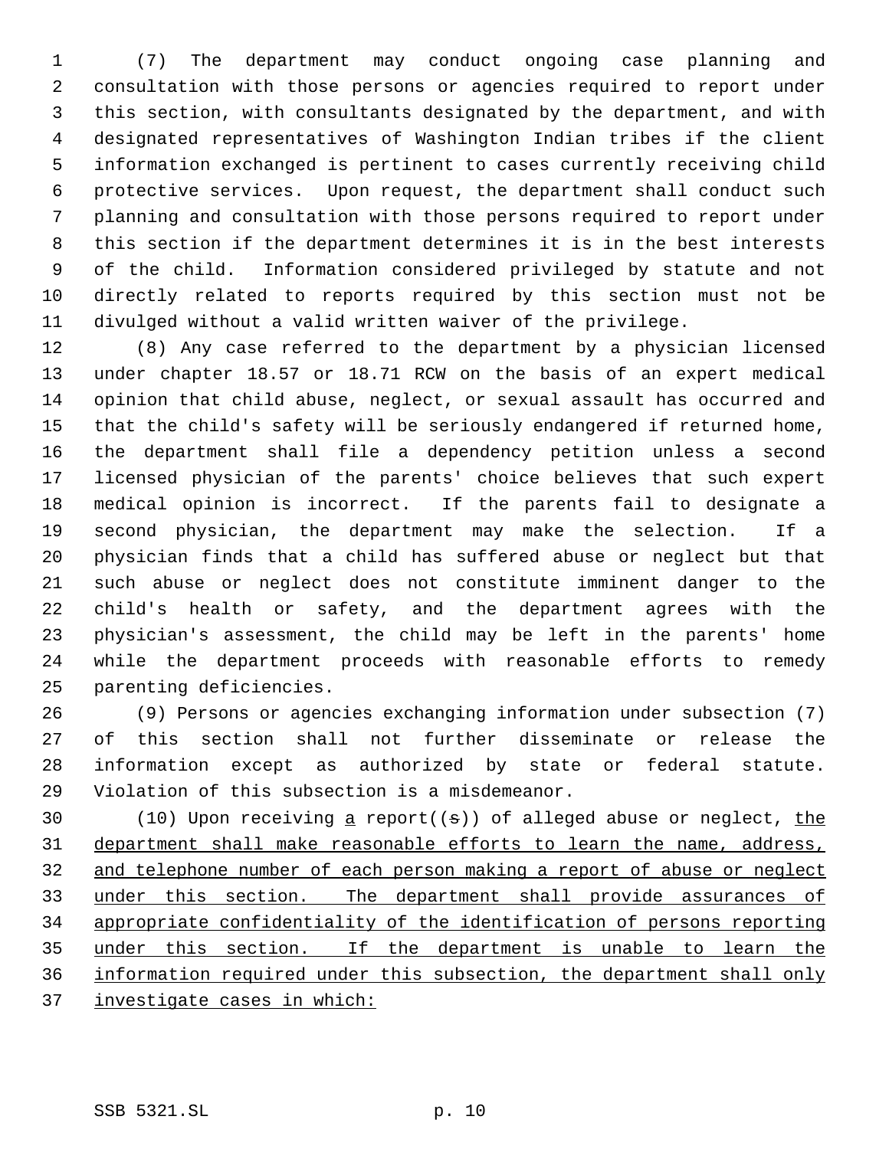(7) The department may conduct ongoing case planning and consultation with those persons or agencies required to report under this section, with consultants designated by the department, and with designated representatives of Washington Indian tribes if the client information exchanged is pertinent to cases currently receiving child protective services. Upon request, the department shall conduct such planning and consultation with those persons required to report under this section if the department determines it is in the best interests of the child. Information considered privileged by statute and not directly related to reports required by this section must not be divulged without a valid written waiver of the privilege.

 (8) Any case referred to the department by a physician licensed under chapter 18.57 or 18.71 RCW on the basis of an expert medical opinion that child abuse, neglect, or sexual assault has occurred and that the child's safety will be seriously endangered if returned home, the department shall file a dependency petition unless a second licensed physician of the parents' choice believes that such expert medical opinion is incorrect. If the parents fail to designate a second physician, the department may make the selection. If a physician finds that a child has suffered abuse or neglect but that such abuse or neglect does not constitute imminent danger to the child's health or safety, and the department agrees with the physician's assessment, the child may be left in the parents' home while the department proceeds with reasonable efforts to remedy parenting deficiencies.

 (9) Persons or agencies exchanging information under subsection (7) of this section shall not further disseminate or release the information except as authorized by state or federal statute. Violation of this subsection is a misdemeanor.

30 (10) Upon receiving a report( $(\sigma)$ ) of alleged abuse or neglect, the department shall make reasonable efforts to learn the name, address, and telephone number of each person making a report of abuse or neglect under this section. The department shall provide assurances of appropriate confidentiality of the identification of persons reporting under this section. If the department is unable to learn the information required under this subsection, the department shall only investigate cases in which: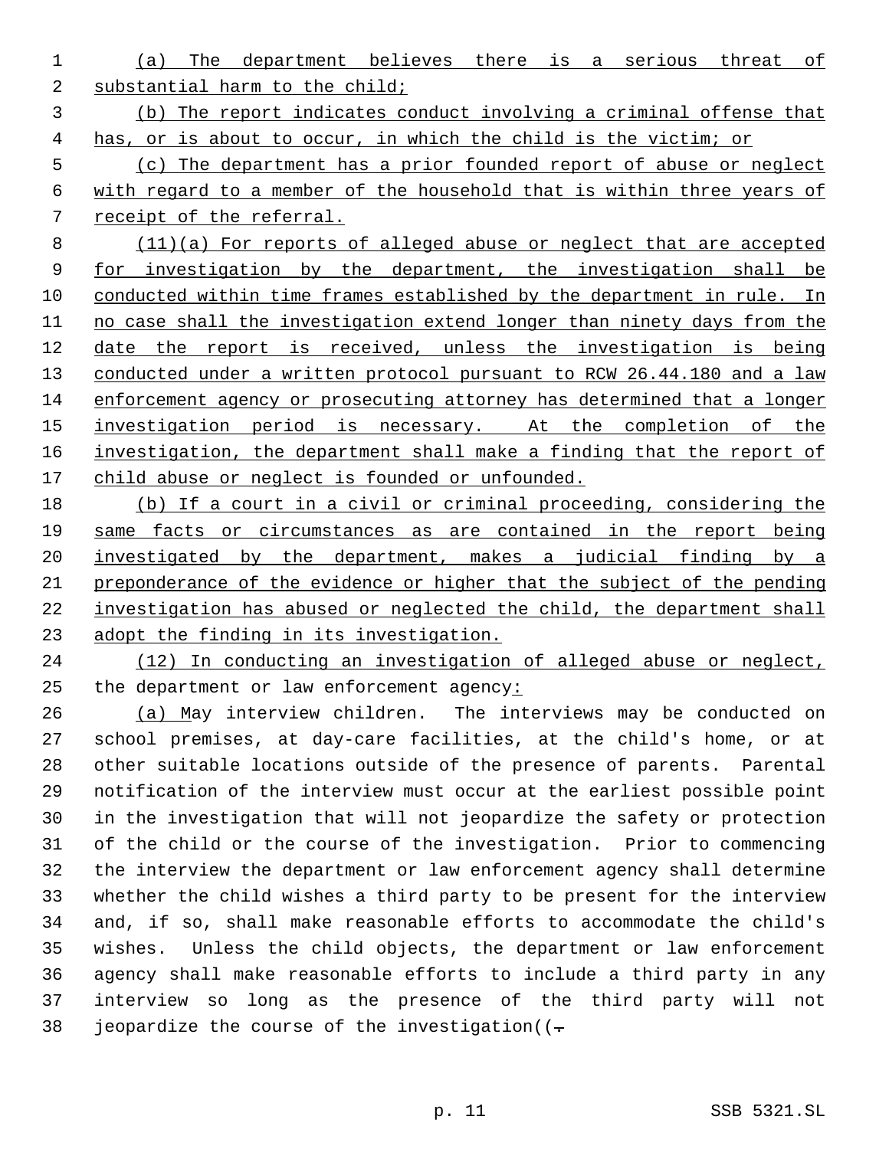(a) The department believes there is a serious threat of substantial harm to the child;

 (b) The report indicates conduct involving a criminal offense that has, or is about to occur, in which the child is the victim; or

 (c) The department has a prior founded report of abuse or neglect with regard to a member of the household that is within three years of receipt of the referral.

 (11)(a) For reports of alleged abuse or neglect that are accepted 9 for investigation by the department, the investigation shall be conducted within time frames established by the department in rule. In no case shall the investigation extend longer than ninety days from the date the report is received, unless the investigation is being 13 conducted under a written protocol pursuant to RCW 26.44.180 and a law enforcement agency or prosecuting attorney has determined that a longer 15 investigation period is necessary. At the completion of the investigation, the department shall make a finding that the report of 17 child abuse or neglect is founded or unfounded.

 (b) If a court in a civil or criminal proceeding, considering the same facts or circumstances as are contained in the report being investigated by the department, makes a judicial finding by a preponderance of the evidence or higher that the subject of the pending investigation has abused or neglected the child, the department shall 23 adopt the finding in its investigation.

 (12) In conducting an investigation of alleged abuse or neglect, the department or law enforcement agency:

 (a) May interview children. The interviews may be conducted on school premises, at day-care facilities, at the child's home, or at other suitable locations outside of the presence of parents. Parental notification of the interview must occur at the earliest possible point in the investigation that will not jeopardize the safety or protection of the child or the course of the investigation. Prior to commencing the interview the department or law enforcement agency shall determine whether the child wishes a third party to be present for the interview and, if so, shall make reasonable efforts to accommodate the child's wishes. Unless the child objects, the department or law enforcement agency shall make reasonable efforts to include a third party in any interview so long as the presence of the third party will not 38 jeopardize the course of the investigation( $(-$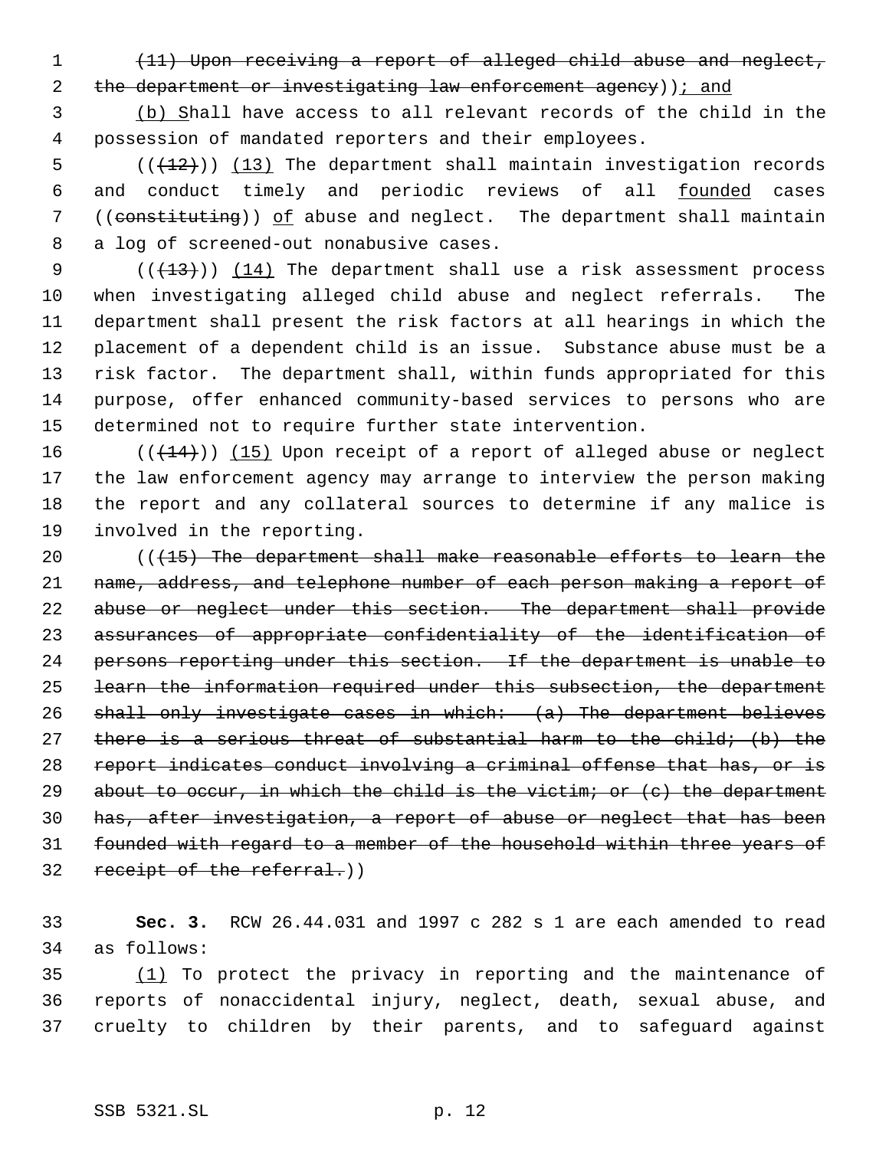(11) Upon receiving a report of alleged child abuse and neglect,

2 the department or investigating law enforcement agency)); and

 (b) Shall have access to all relevant records of the child in the possession of mandated reporters and their employees.

 $((+12))$   $(13)$  The department shall maintain investigation records and conduct timely and periodic reviews of all founded cases 7 ((constituting)) of abuse and neglect. The department shall maintain a log of screened-out nonabusive cases.

 $((+13))$   $(14)$  The department shall use a risk assessment process when investigating alleged child abuse and neglect referrals. The department shall present the risk factors at all hearings in which the placement of a dependent child is an issue. Substance abuse must be a risk factor. The department shall, within funds appropriated for this purpose, offer enhanced community-based services to persons who are determined not to require further state intervention.

 $((+14))$  (15) Upon receipt of a report of alleged abuse or neglect the law enforcement agency may arrange to interview the person making the report and any collateral sources to determine if any malice is involved in the reporting.

 (((15) The department shall make reasonable efforts to learn the name, address, and telephone number of each person making a report of abuse or neglect under this section. The department shall provide assurances of appropriate confidentiality of the identification of persons reporting under this section. If the department is unable to learn the information required under this subsection, the department shall only investigate cases in which: (a) The department believes there is a serious threat of substantial harm to the child; (b) the report indicates conduct involving a criminal offense that has, or is 29 about to occur, in which the child is the victim; or  $(e)$  the department has, after investigation, a report of abuse or neglect that has been 31 founded with regard to a member of the household within three years of 32 receipt of the referral.)

 **Sec. 3.** RCW 26.44.031 and 1997 c 282 s 1 are each amended to read as follows:

 (1) To protect the privacy in reporting and the maintenance of reports of nonaccidental injury, neglect, death, sexual abuse, and cruelty to children by their parents, and to safeguard against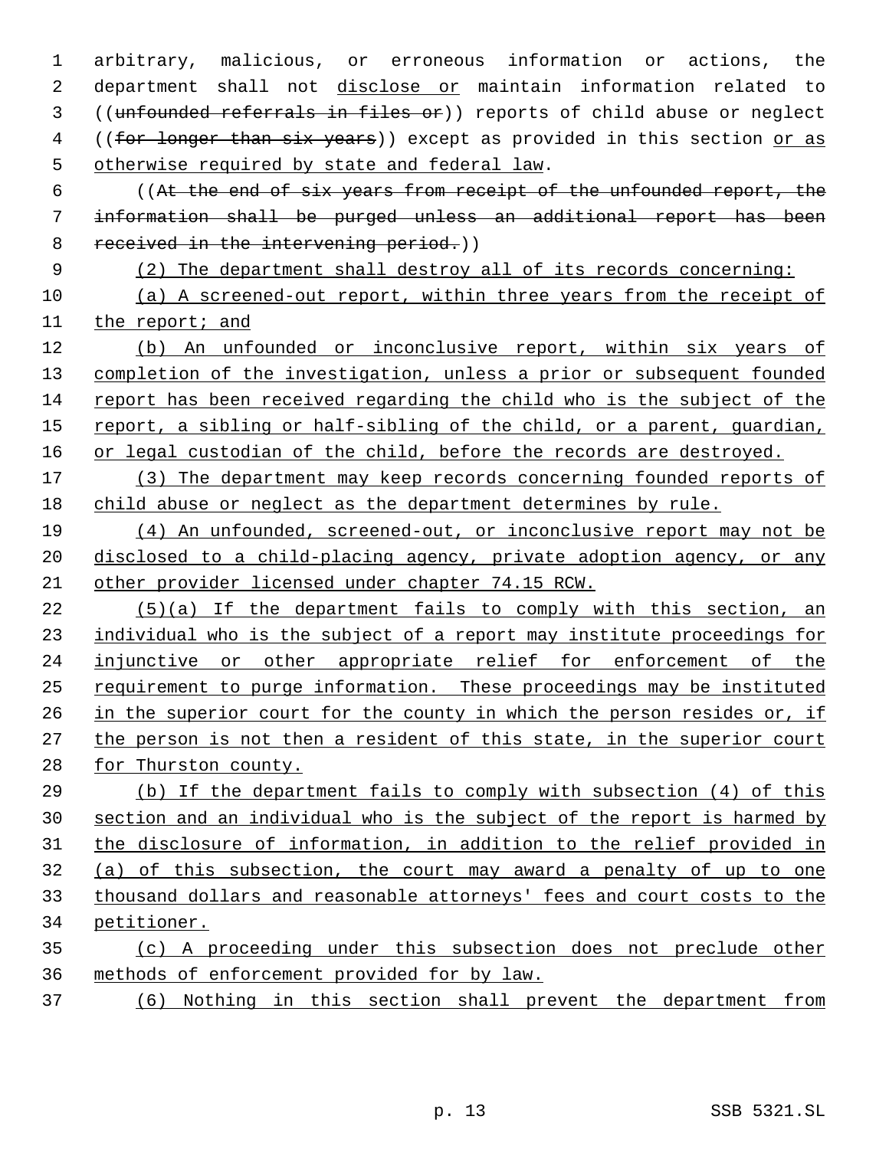arbitrary, malicious, or erroneous information or actions, the department shall not disclose or maintain information related to ((unfounded referrals in files or)) reports of child abuse or neglect 4 ((for longer than six years)) except as provided in this section or as otherwise required by state and federal law.

 ((At the end of six years from receipt of the unfounded report, the information shall be purged unless an additional report has been 8 received in the intervening period.)

(2) The department shall destroy all of its records concerning:

 (a) A screened-out report, within three years from the receipt of 11 the report; and

12 (b) An unfounded or inconclusive report, within six years of completion of the investigation, unless a prior or subsequent founded report has been received regarding the child who is the subject of the report, a sibling or half-sibling of the child, or a parent, guardian, 16 or legal custodian of the child, before the records are destroyed.

17 (3) The department may keep records concerning founded reports of child abuse or neglect as the department determines by rule.

 (4) An unfounded, screened-out, or inconclusive report may not be disclosed to a child-placing agency, private adoption agency, or any other provider licensed under chapter 74.15 RCW.

 (5)(a) If the department fails to comply with this section, an individual who is the subject of a report may institute proceedings for injunctive or other appropriate relief for enforcement of the requirement to purge information. These proceedings may be instituted in the superior court for the county in which the person resides or, if the person is not then a resident of this state, in the superior court 28 for Thurston county.

 (b) If the department fails to comply with subsection (4) of this section and an individual who is the subject of the report is harmed by the disclosure of information, in addition to the relief provided in (a) of this subsection, the court may award a penalty of up to one thousand dollars and reasonable attorneys' fees and court costs to the petitioner.

 (c) A proceeding under this subsection does not preclude other methods of enforcement provided for by law.

(6) Nothing in this section shall prevent the department from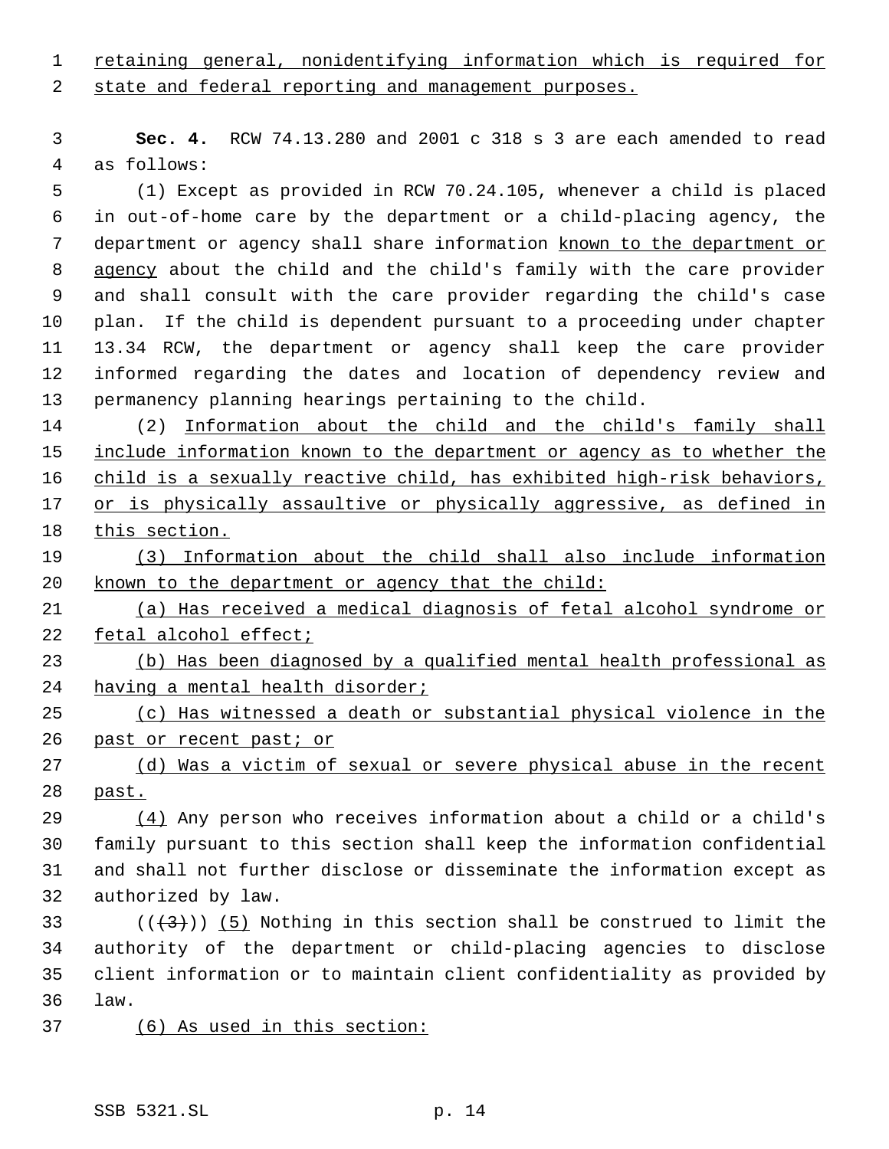retaining general, nonidentifying information which is required for

state and federal reporting and management purposes.

 **Sec. 4.** RCW 74.13.280 and 2001 c 318 s 3 are each amended to read as follows:

 (1) Except as provided in RCW 70.24.105, whenever a child is placed in out-of-home care by the department or a child-placing agency, the 7 department or agency shall share information known to the department or agency about the child and the child's family with the care provider and shall consult with the care provider regarding the child's case plan. If the child is dependent pursuant to a proceeding under chapter 13.34 RCW, the department or agency shall keep the care provider informed regarding the dates and location of dependency review and permanency planning hearings pertaining to the child.

 (2) Information about the child and the child's family shall 15 include information known to the department or agency as to whether the 16 child is a sexually reactive child, has exhibited high-risk behaviors, 17 or is physically assaultive or physically aggressive, as defined in this section.

 (3) Information about the child shall also include information known to the department or agency that the child:

 (a) Has received a medical diagnosis of fetal alcohol syndrome or fetal alcohol effect;

 (b) Has been diagnosed by a qualified mental health professional as having a mental health disorder;

 (c) Has witnessed a death or substantial physical violence in the 26 past or recent past; or

27 (d) Was a victim of sexual or severe physical abuse in the recent past.

 (4) Any person who receives information about a child or a child's family pursuant to this section shall keep the information confidential and shall not further disclose or disseminate the information except as authorized by law.

33 ( $(\overline{+3})$ ) (5) Nothing in this section shall be construed to limit the authority of the department or child-placing agencies to disclose client information or to maintain client confidentiality as provided by law.

(6) As used in this section: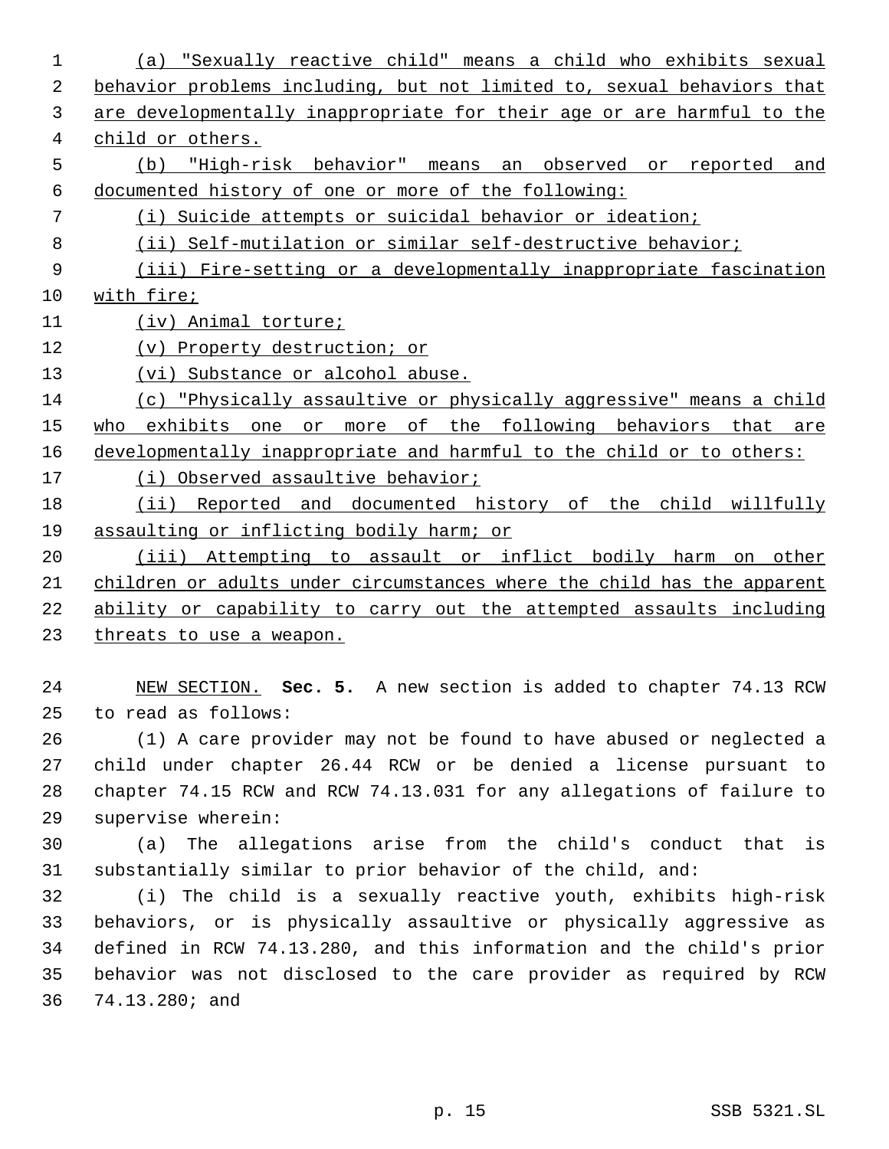(a) "Sexually reactive child" means a child who exhibits sexual behavior problems including, but not limited to, sexual behaviors that are developmentally inappropriate for their age or are harmful to the child or others. (b) "High-risk behavior" means an observed or reported and documented history of one or more of the following: (i) Suicide attempts or suicidal behavior or ideation; (ii) Self-mutilation or similar self-destructive behavior; 9 (iii) Fire-setting or a developmentally inappropriate fascination with fire; 11 (iv) Animal torture; (v) Property destruction; or 13 (vi) Substance or alcohol abuse. (c) "Physically assaultive or physically aggressive" means a child 15 who exhibits one or more of the following behaviors that are developmentally inappropriate and harmful to the child or to others: (i) Observed assaultive behavior; (ii) Reported and documented history of the child willfully assaulting or inflicting bodily harm; or (iii) Attempting to assault or inflict bodily harm on other children or adults under circumstances where the child has the apparent ability or capability to carry out the attempted assaults including threats to use a weapon. NEW SECTION. **Sec. 5.** A new section is added to chapter 74.13 RCW to read as follows: (1) A care provider may not be found to have abused or neglected a child under chapter 26.44 RCW or be denied a license pursuant to chapter 74.15 RCW and RCW 74.13.031 for any allegations of failure to supervise wherein: (a) The allegations arise from the child's conduct that is substantially similar to prior behavior of the child, and: (i) The child is a sexually reactive youth, exhibits high-risk behaviors, or is physically assaultive or physically aggressive as defined in RCW 74.13.280, and this information and the child's prior

 behavior was not disclosed to the care provider as required by RCW 74.13.280; and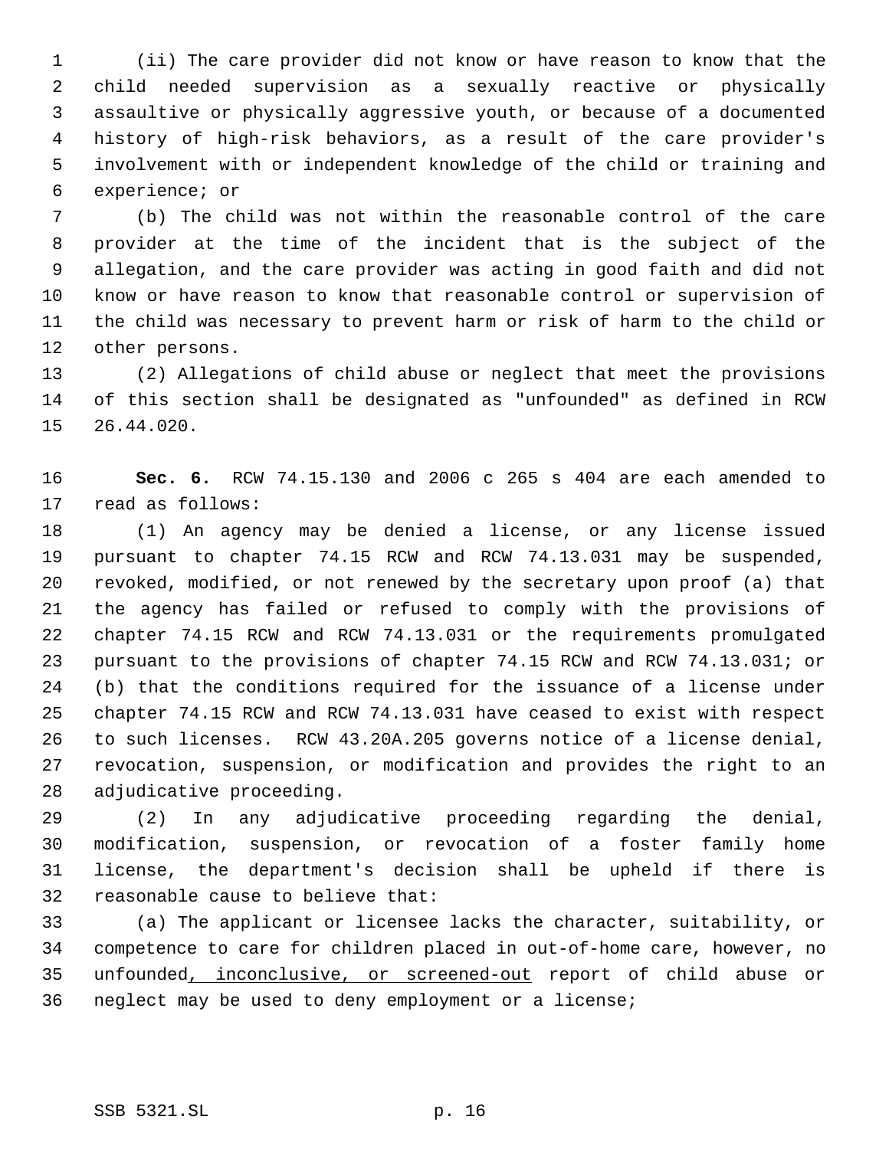(ii) The care provider did not know or have reason to know that the child needed supervision as a sexually reactive or physically assaultive or physically aggressive youth, or because of a documented history of high-risk behaviors, as a result of the care provider's involvement with or independent knowledge of the child or training and experience; or

 (b) The child was not within the reasonable control of the care provider at the time of the incident that is the subject of the allegation, and the care provider was acting in good faith and did not know or have reason to know that reasonable control or supervision of the child was necessary to prevent harm or risk of harm to the child or other persons.

 (2) Allegations of child abuse or neglect that meet the provisions of this section shall be designated as "unfounded" as defined in RCW 26.44.020.

 **Sec. 6.** RCW 74.15.130 and 2006 c 265 s 404 are each amended to read as follows:

 (1) An agency may be denied a license, or any license issued pursuant to chapter 74.15 RCW and RCW 74.13.031 may be suspended, revoked, modified, or not renewed by the secretary upon proof (a) that the agency has failed or refused to comply with the provisions of chapter 74.15 RCW and RCW 74.13.031 or the requirements promulgated pursuant to the provisions of chapter 74.15 RCW and RCW 74.13.031; or (b) that the conditions required for the issuance of a license under chapter 74.15 RCW and RCW 74.13.031 have ceased to exist with respect to such licenses. RCW 43.20A.205 governs notice of a license denial, revocation, suspension, or modification and provides the right to an adjudicative proceeding.

 (2) In any adjudicative proceeding regarding the denial, modification, suspension, or revocation of a foster family home license, the department's decision shall be upheld if there is reasonable cause to believe that:

 (a) The applicant or licensee lacks the character, suitability, or competence to care for children placed in out-of-home care, however, no unfounded, inconclusive, or screened-out report of child abuse or neglect may be used to deny employment or a license;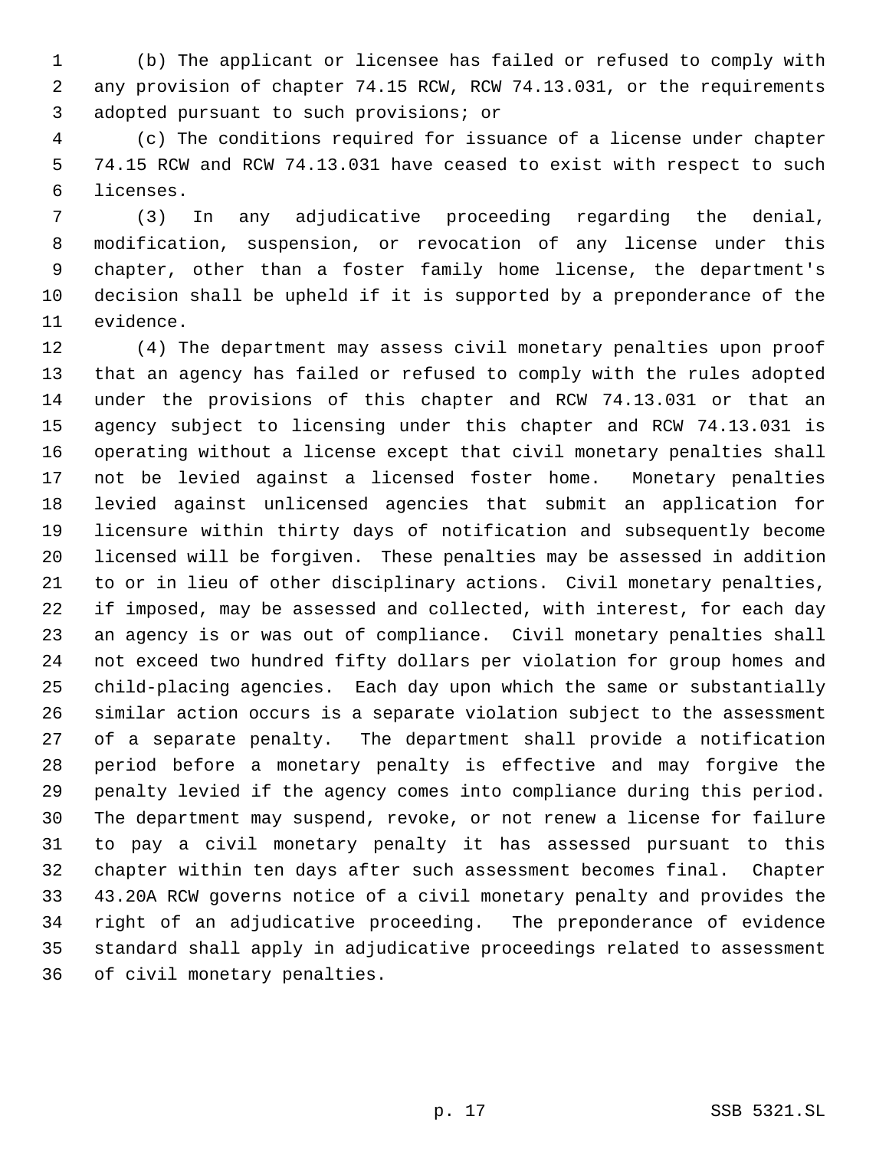(b) The applicant or licensee has failed or refused to comply with any provision of chapter 74.15 RCW, RCW 74.13.031, or the requirements adopted pursuant to such provisions; or

 (c) The conditions required for issuance of a license under chapter 74.15 RCW and RCW 74.13.031 have ceased to exist with respect to such licenses.

 (3) In any adjudicative proceeding regarding the denial, modification, suspension, or revocation of any license under this chapter, other than a foster family home license, the department's decision shall be upheld if it is supported by a preponderance of the evidence.

 (4) The department may assess civil monetary penalties upon proof that an agency has failed or refused to comply with the rules adopted under the provisions of this chapter and RCW 74.13.031 or that an agency subject to licensing under this chapter and RCW 74.13.031 is operating without a license except that civil monetary penalties shall not be levied against a licensed foster home. Monetary penalties levied against unlicensed agencies that submit an application for licensure within thirty days of notification and subsequently become licensed will be forgiven. These penalties may be assessed in addition to or in lieu of other disciplinary actions. Civil monetary penalties, if imposed, may be assessed and collected, with interest, for each day an agency is or was out of compliance. Civil monetary penalties shall not exceed two hundred fifty dollars per violation for group homes and child-placing agencies. Each day upon which the same or substantially similar action occurs is a separate violation subject to the assessment of a separate penalty. The department shall provide a notification period before a monetary penalty is effective and may forgive the penalty levied if the agency comes into compliance during this period. The department may suspend, revoke, or not renew a license for failure to pay a civil monetary penalty it has assessed pursuant to this chapter within ten days after such assessment becomes final. Chapter 43.20A RCW governs notice of a civil monetary penalty and provides the right of an adjudicative proceeding. The preponderance of evidence standard shall apply in adjudicative proceedings related to assessment of civil monetary penalties.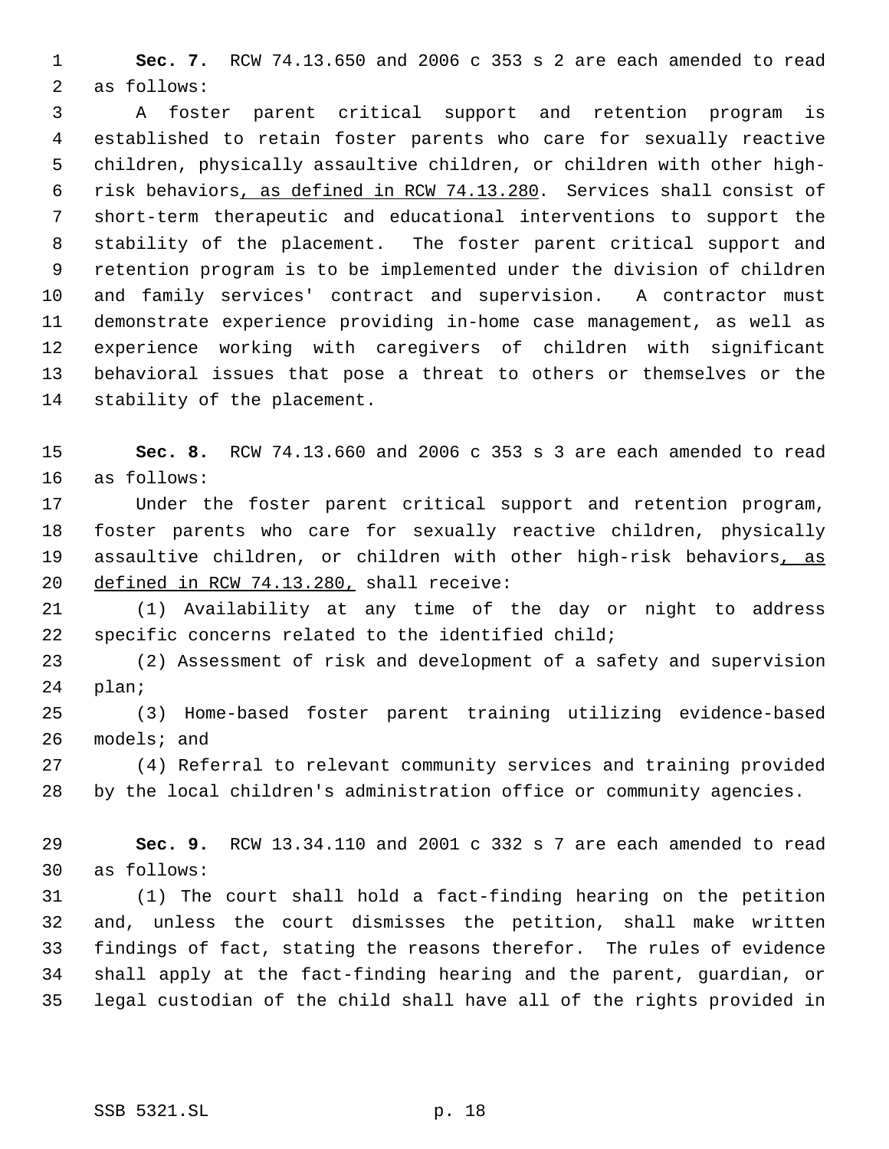**Sec. 7.** RCW 74.13.650 and 2006 c 353 s 2 are each amended to read as follows:

 A foster parent critical support and retention program is established to retain foster parents who care for sexually reactive children, physically assaultive children, or children with other high- risk behaviors, as defined in RCW 74.13.280. Services shall consist of short-term therapeutic and educational interventions to support the stability of the placement. The foster parent critical support and retention program is to be implemented under the division of children and family services' contract and supervision. A contractor must demonstrate experience providing in-home case management, as well as experience working with caregivers of children with significant behavioral issues that pose a threat to others or themselves or the stability of the placement.

 **Sec. 8.** RCW 74.13.660 and 2006 c 353 s 3 are each amended to read as follows:

 Under the foster parent critical support and retention program, foster parents who care for sexually reactive children, physically 19 assaultive children, or children with other high-risk behaviors, as defined in RCW 74.13.280, shall receive:

 (1) Availability at any time of the day or night to address specific concerns related to the identified child;

 (2) Assessment of risk and development of a safety and supervision plan;

 (3) Home-based foster parent training utilizing evidence-based models; and

 (4) Referral to relevant community services and training provided by the local children's administration office or community agencies.

 **Sec. 9.** RCW 13.34.110 and 2001 c 332 s 7 are each amended to read as follows:

 (1) The court shall hold a fact-finding hearing on the petition and, unless the court dismisses the petition, shall make written findings of fact, stating the reasons therefor. The rules of evidence shall apply at the fact-finding hearing and the parent, guardian, or legal custodian of the child shall have all of the rights provided in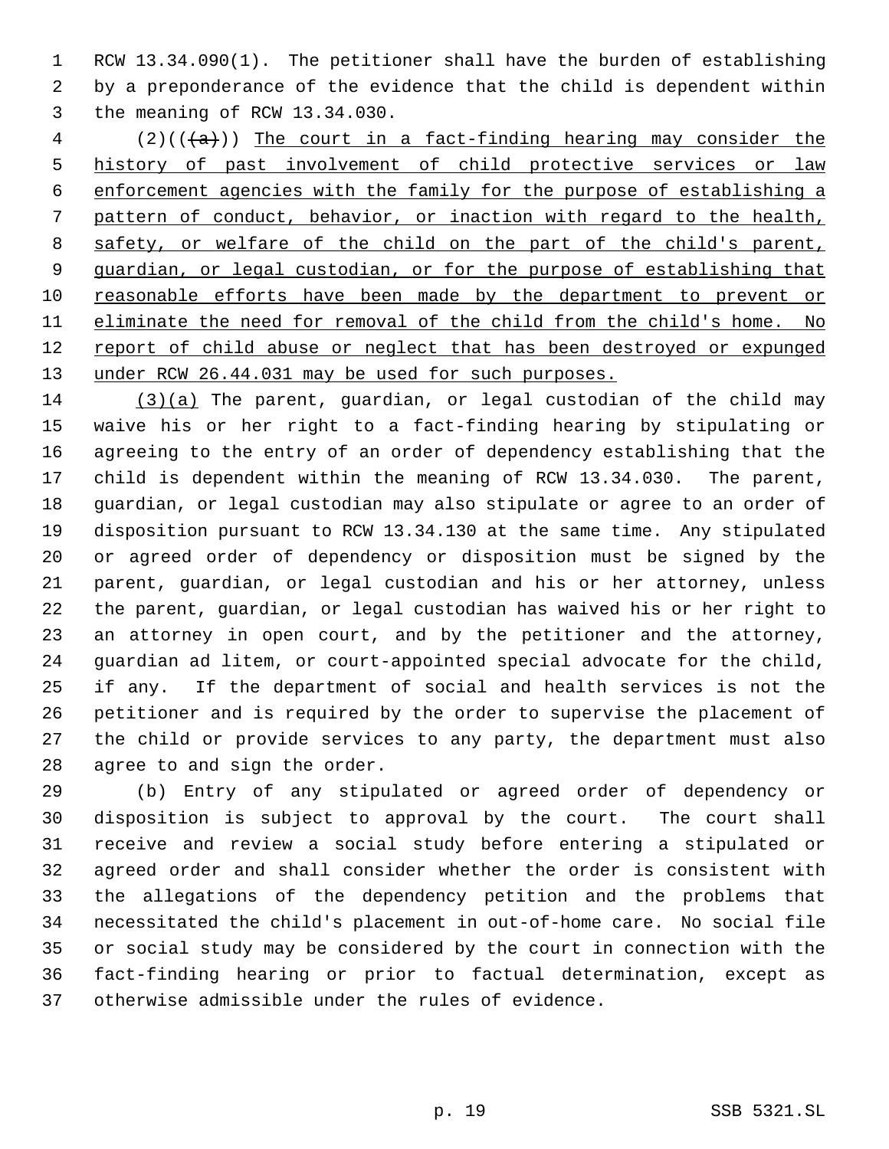RCW 13.34.090(1). The petitioner shall have the burden of establishing by a preponderance of the evidence that the child is dependent within the meaning of RCW 13.34.030.

4 (2)( $(\overline{a})$ ) The court in a fact-finding hearing may consider the history of past involvement of child protective services or law enforcement agencies with the family for the purpose of establishing a pattern of conduct, behavior, or inaction with regard to the health, 8 safety, or welfare of the child on the part of the child's parent, guardian, or legal custodian, or for the purpose of establishing that reasonable efforts have been made by the department to prevent or eliminate the need for removal of the child from the child's home. No 12 report of child abuse or neglect that has been destroyed or expunged 13 under RCW 26.44.031 may be used for such purposes.

 (3)(a) The parent, guardian, or legal custodian of the child may waive his or her right to a fact-finding hearing by stipulating or agreeing to the entry of an order of dependency establishing that the child is dependent within the meaning of RCW 13.34.030. The parent, guardian, or legal custodian may also stipulate or agree to an order of disposition pursuant to RCW 13.34.130 at the same time. Any stipulated or agreed order of dependency or disposition must be signed by the parent, guardian, or legal custodian and his or her attorney, unless the parent, guardian, or legal custodian has waived his or her right to an attorney in open court, and by the petitioner and the attorney, guardian ad litem, or court-appointed special advocate for the child, if any. If the department of social and health services is not the petitioner and is required by the order to supervise the placement of the child or provide services to any party, the department must also agree to and sign the order.

 (b) Entry of any stipulated or agreed order of dependency or disposition is subject to approval by the court. The court shall receive and review a social study before entering a stipulated or agreed order and shall consider whether the order is consistent with the allegations of the dependency petition and the problems that necessitated the child's placement in out-of-home care. No social file or social study may be considered by the court in connection with the fact-finding hearing or prior to factual determination, except as otherwise admissible under the rules of evidence.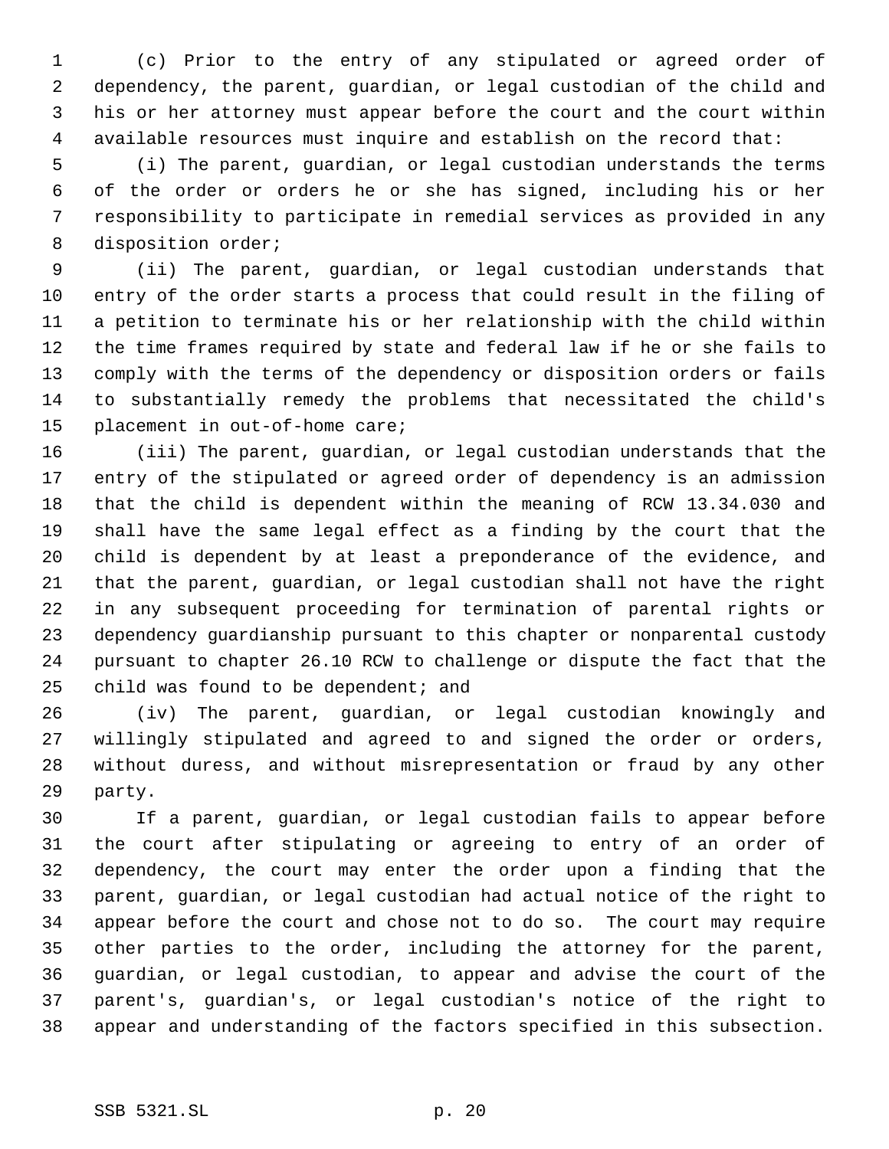(c) Prior to the entry of any stipulated or agreed order of dependency, the parent, guardian, or legal custodian of the child and his or her attorney must appear before the court and the court within available resources must inquire and establish on the record that:

 (i) The parent, guardian, or legal custodian understands the terms of the order or orders he or she has signed, including his or her responsibility to participate in remedial services as provided in any disposition order;

 (ii) The parent, guardian, or legal custodian understands that entry of the order starts a process that could result in the filing of a petition to terminate his or her relationship with the child within the time frames required by state and federal law if he or she fails to comply with the terms of the dependency or disposition orders or fails to substantially remedy the problems that necessitated the child's placement in out-of-home care;

 (iii) The parent, guardian, or legal custodian understands that the entry of the stipulated or agreed order of dependency is an admission that the child is dependent within the meaning of RCW 13.34.030 and shall have the same legal effect as a finding by the court that the child is dependent by at least a preponderance of the evidence, and that the parent, guardian, or legal custodian shall not have the right in any subsequent proceeding for termination of parental rights or dependency guardianship pursuant to this chapter or nonparental custody pursuant to chapter 26.10 RCW to challenge or dispute the fact that the 25 child was found to be dependent; and

 (iv) The parent, guardian, or legal custodian knowingly and willingly stipulated and agreed to and signed the order or orders, without duress, and without misrepresentation or fraud by any other party.

 If a parent, guardian, or legal custodian fails to appear before the court after stipulating or agreeing to entry of an order of dependency, the court may enter the order upon a finding that the parent, guardian, or legal custodian had actual notice of the right to appear before the court and chose not to do so. The court may require other parties to the order, including the attorney for the parent, guardian, or legal custodian, to appear and advise the court of the parent's, guardian's, or legal custodian's notice of the right to appear and understanding of the factors specified in this subsection.